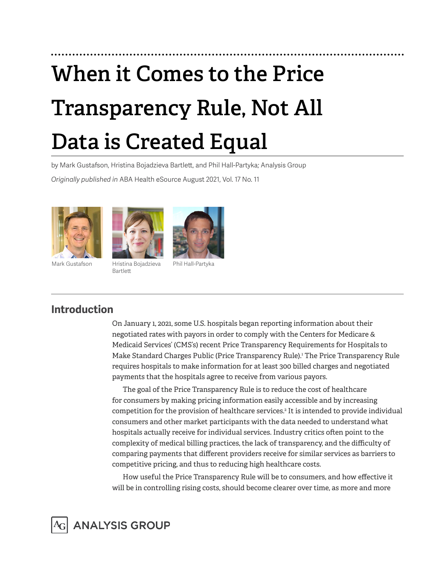# **When it Comes to the Price Transparency Rule, Not All Data is Created Equal**

by Mark Gustafson, Hristina Bojadzieva Bartlett, and Phil Hall-Partyka; Analysis Group

*Originally published in* ABA Health eSource August 2021, Vol. 17 No. 11





Bartlett



Phil Hall-Partyka

## **Introduction**

On January 1, 2021, some U.S. hospitals began reporting information about their negotiated rates with payors in order to comply with the Centers for Medicare & Medicaid Services' (CMS's) recent Price Transparency Requirements for Hospitals to Make Standard Charges Public (Price Transparency Rule).1 The Price Transparency Rule requires hospitals to make information for at least 300 billed charges and negotiated payments that the hospitals agree to receive from various payors.

The goal of the Price Transparency Rule is to reduce the cost of healthcare for consumers by making pricing information easily accessible and by increasing competition for the provision of healthcare services.2 It is intended to provide individual consumers and other market participants with the data needed to understand what hospitals actually receive for individual services. Industry critics often point to the complexity of medical billing practices, the lack of transparency, and the difficulty of comparing payments that different providers receive for similar services as barriers to competitive pricing, and thus to reducing high healthcare costs.

How useful the Price Transparency Rule will be to consumers, and how effective it will be in controlling rising costs, should become clearer over time, as more and more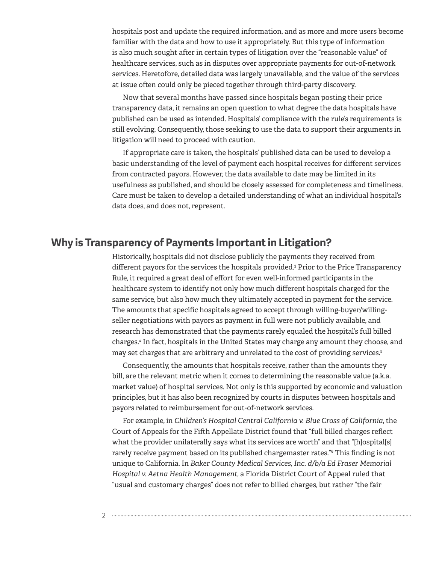hospitals post and update the required information, and as more and more users become familiar with the data and how to use it appropriately. But this type of information is also much sought after in certain types of litigation over the "reasonable value" of healthcare services, such as in disputes over appropriate payments for out-of-network services. Heretofore, detailed data was largely unavailable, and the value of the services at issue often could only be pieced together through third-party discovery.

Now that several months have passed since hospitals began posting their price transparency data, it remains an open question to what degree the data hospitals have published can be used as intended. Hospitals' compliance with the rule's requirements is still evolving. Consequently, those seeking to use the data to support their arguments in litigation will need to proceed with caution.

If appropriate care is taken, the hospitals' published data can be used to develop a basic understanding of the level of payment each hospital receives for different services from contracted payors. However, the data available to date may be limited in its usefulness as published, and should be closely assessed for completeness and timeliness. Care must be taken to develop a detailed understanding of what an individual hospital's data does, and does not, represent.

### **Why is Transparency of Payments Important in Litigation?**

Historically, hospitals did not disclose publicly the payments they received from different payors for the services the hospitals provided.3 Prior to the Price Transparency Rule, it required a great deal of effort for even well-informed participants in the healthcare system to identify not only how much different hospitals charged for the same service, but also how much they ultimately accepted in payment for the service. The amounts that specific hospitals agreed to accept through willing-buyer/willingseller negotiations with payors as payment in full were not publicly available, and research has demonstrated that the payments rarely equaled the hospital's full billed charges.4 In fact, hospitals in the United States may charge any amount they choose, and may set charges that are arbitrary and unrelated to the cost of providing services.5

Consequently, the amounts that hospitals receive, rather than the amounts they bill, are the relevant metric when it comes to determining the reasonable value (a.k.a. market value) of hospital services. Not only is this supported by economic and valuation principles, but it has also been recognized by courts in disputes between hospitals and payors related to reimbursement for out-of-network services.

For example, in *Children's Hospital Central California v. Blue Cross of California*, the Court of Appeals for the Fifth Appellate District found that "full billed charges reflect what the provider unilaterally says what its services are worth" and that "[h]ospital[s] rarely receive payment based on its published chargemaster rates."6 This finding is not unique to California. In *Baker County Medical Services, Inc. d/b/a Ed Fraser Memorial Hospital v. Aetna Health Management*, a Florida District Court of Appeal ruled that "usual and customary charges" does not refer to billed charges, but rather "the fair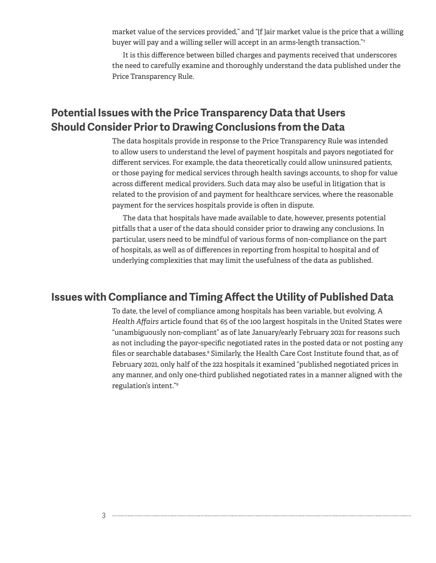market value of the services provided," and "[f ]air market value is the price that a willing buyer will pay and a willing seller will accept in an arms-length transaction."7

It is this difference between billed charges and payments received that underscores the need to carefully examine and thoroughly understand the data published under the Price Transparency Rule.

## **Potential Issues with the Price Transparency Data that Users Should Consider Prior to Drawing Conclusions from the Data**

The data hospitals provide in response to the Price Transparency Rule was intended to allow users to understand the level of payment hospitals and payors negotiated for different services. For example, the data theoretically could allow uninsured patients, or those paying for medical services through health savings accounts, to shop for value across different medical providers. Such data may also be useful in litigation that is related to the provision of and payment for healthcare services, where the reasonable payment for the services hospitals provide is often in dispute.

The data that hospitals have made available to date, however, presents potential pitfalls that a user of the data should consider prior to drawing any conclusions. In particular, users need to be mindful of various forms of non-compliance on the part of hospitals, as well as of differences in reporting from hospital to hospital and of underlying complexities that may limit the usefulness of the data as published.

#### **Issues with Compliance and Timing Affect the Utility of Published Data**

To date, the level of compliance among hospitals has been variable, but evolving. A *Health Affairs* article found that 65 of the 100 largest hospitals in the United States were "unambiguously non-compliant" as of late January/early February 2021 for reasons such as not including the payor-specific negotiated rates in the posted data or not posting any files or searchable databases.<sup>s</sup> Similarly, the Health Care Cost Institute found that, as of February 2021, only half of the 222 hospitals it examined "published negotiated prices in any manner, and only one-third published negotiated rates in a manner aligned with the regulation's intent."9

3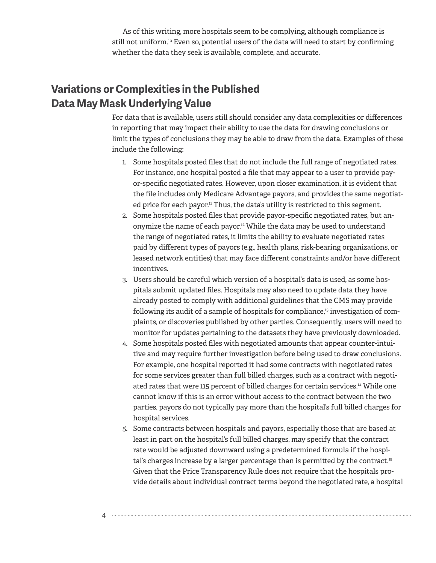As of this writing, more hospitals seem to be complying, although compliance is still not uniform.<sup>10</sup> Even so, potential users of the data will need to start by confirming whether the data they seek is available, complete, and accurate.

## **Variations or Complexities in the Published Data May Mask Underlying Value**

For data that is available, users still should consider any data complexities or differences in reporting that may impact their ability to use the data for drawing conclusions or limit the types of conclusions they may be able to draw from the data. Examples of these include the following:

- 1. Some hospitals posted files that do not include the full range of negotiated rates. For instance, one hospital posted a file that may appear to a user to provide payor-specific negotiated rates. However, upon closer examination, it is evident that the file includes only Medicare Advantage payors, and provides the same negotiated price for each payor.<sup>11</sup> Thus, the data's utility is restricted to this segment.
- 2. Some hospitals posted files that provide payor-specific negotiated rates, but anonymize the name of each payor.12 While the data may be used to understand the range of negotiated rates, it limits the ability to evaluate negotiated rates paid by different types of payors (e.g., health plans, risk-bearing organizations, or leased network entities) that may face different constraints and/or have different incentives.
- 3. Users should be careful which version of a hospital's data is used, as some hospitals submit updated files. Hospitals may also need to update data they have already posted to comply with additional guidelines that the CMS may provide following its audit of a sample of hospitals for compliance,<sup>13</sup> investigation of complaints, or discoveries published by other parties. Consequently, users will need to monitor for updates pertaining to the datasets they have previously downloaded.
- 4. Some hospitals posted files with negotiated amounts that appear counter-intuitive and may require further investigation before being used to draw conclusions. For example, one hospital reported it had some contracts with negotiated rates for some services greater than full billed charges, such as a contract with negotiated rates that were 115 percent of billed charges for certain services.<sup>14</sup> While one cannot know if this is an error without access to the contract between the two parties, payors do not typically pay more than the hospital's full billed charges for hospital services.
- 5. Some contracts between hospitals and payors, especially those that are based at least in part on the hospital's full billed charges, may specify that the contract rate would be adjusted downward using a predetermined formula if the hospital's charges increase by a larger percentage than is permitted by the contract.<sup>15</sup> Given that the Price Transparency Rule does not require that the hospitals provide details about individual contract terms beyond the negotiated rate, a hospital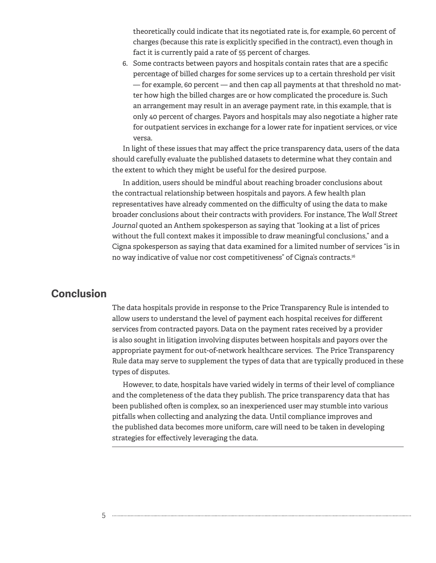theoretically could indicate that its negotiated rate is, for example, 60 percent of charges (because this rate is explicitly specified in the contract), even though in fact it is currently paid a rate of 55 percent of charges.

6. Some contracts between payors and hospitals contain rates that are a specific percentage of billed charges for some services up to a certain threshold per visit — for example, 60 percent — and then cap all payments at that threshold no matter how high the billed charges are or how complicated the procedure is. Such an arrangement may result in an average payment rate, in this example, that is only 40 percent of charges. Payors and hospitals may also negotiate a higher rate for outpatient services in exchange for a lower rate for inpatient services, or vice versa.

In light of these issues that may affect the price transparency data, users of the data should carefully evaluate the published datasets to determine what they contain and the extent to which they might be useful for the desired purpose.

In addition, users should be mindful about reaching broader conclusions about the contractual relationship between hospitals and payors. A few health plan representatives have already commented on the difficulty of using the data to make broader conclusions about their contracts with providers. For instance, The *Wall Street Journal* quoted an Anthem spokesperson as saying that "looking at a list of prices without the full context makes it impossible to draw meaningful conclusions," and a Cigna spokesperson as saying that data examined for a limited number of services "is in no way indicative of value nor cost competitiveness" of Cigna's contracts.16

#### **Conclusion**

The data hospitals provide in response to the Price Transparency Rule is intended to allow users to understand the level of payment each hospital receives for different services from contracted payors. Data on the payment rates received by a provider is also sought in litigation involving disputes between hospitals and payors over the appropriate payment for out-of-network healthcare services. The Price Transparency Rule data may serve to supplement the types of data that are typically produced in these types of disputes.

However, to date, hospitals have varied widely in terms of their level of compliance and the completeness of the data they publish. The price transparency data that has been published often is complex, so an inexperienced user may stumble into various pitfalls when collecting and analyzing the data. Until compliance improves and the published data becomes more uniform, care will need to be taken in developing strategies for effectively leveraging the data.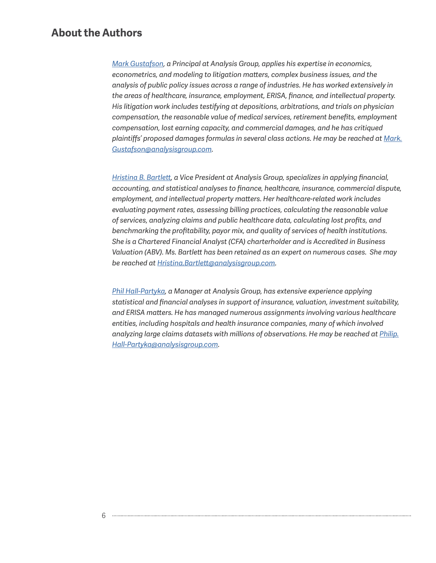#### **About the Authors**

*[Mark Gustafson,](https://www.analysisgroup.com/experts-and-consultants/principals/mark-a--gustafson/) a Principal at Analysis Group, applies his expertise in economics, econometrics, and modeling to litigation matters, complex business issues, and the analysis of public policy issues across a range of industries. He has worked extensively in the areas of healthcare, insurance, employment, ERISA, finance, and intellectual property. His litigation work includes testifying at depositions, arbitrations, and trials on physician compensation, the reasonable value of medical services, retirement benefits, employment compensation, lost earning capacity, and commercial damages, and he has critiqued plaintiffs' proposed damages formulas in several class actions. He may be reached at [Mark.](mailto:Mark.Gustafson%40analysisgroup.com?subject=) [Gustafson@analysisgroup.com](mailto:Mark.Gustafson%40analysisgroup.com?subject=).*

*[Hristina B. Bartlett](https://www.analysisgroup.com/experts-and-consultants/vice-presidents/hristina-bojadzieva-bartlett/), a Vice President at Analysis Group, specializes in applying financial, accounting, and statistical analyses to finance, healthcare, insurance, commercial dispute, employment, and intellectual property matters. Her healthcare-related work includes evaluating payment rates, assessing billing practices, calculating the reasonable value of services, analyzing claims and public healthcare data, calculating lost profits, and benchmarking the profitability, payor mix, and quality of services of health institutions. She is a Chartered Financial Analyst (CFA) charterholder and is Accredited in Business Valuation (ABV). Ms. Bartlett has been retained as an expert on numerous cases. She may be reached at [Hristina.Bartlett@analysisgroup.com](mailto:Hristina.Bartlett%40analysisgroup.com?subject=).*

*[Phil Hall-Partyka,](https://www.analysisgroup.com/experts-and-consultants/managers/phil-hall-partyka/) a Manager at Analysis Group, has extensive experience applying statistical and financial analyses in support of insurance, valuation, investment suitability, and ERISA matters. He has managed numerous assignments involving various healthcare entities, including hospitals and health insurance companies, many of which involved analyzing large claims datasets with millions of observations. He may be reached at [Philip.](mailto:Philip.Hall-Partyka%40analysisgroup.com?subject=) [Hall-Partyka@analysisgroup.com](mailto:Philip.Hall-Partyka%40analysisgroup.com?subject=).*